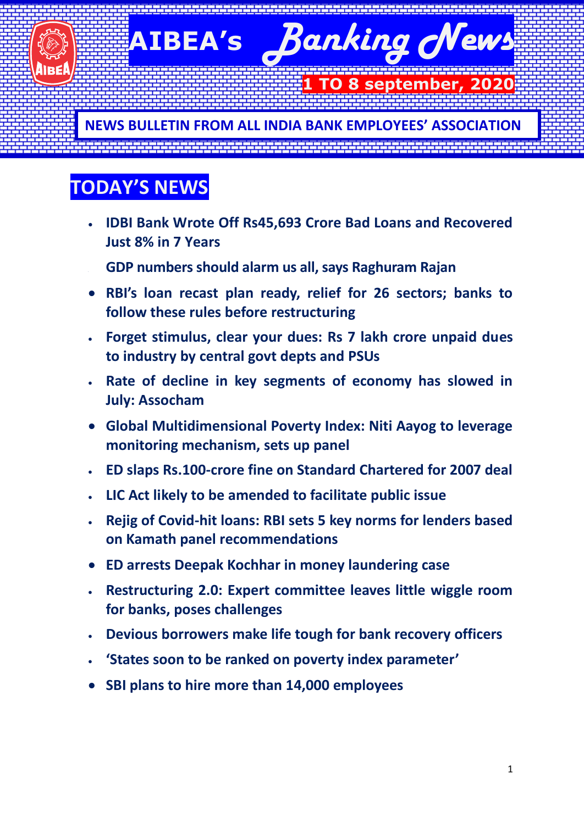**AIBEA's** *Banking News*

 **10 8 september,** 

**NEWS BULLETIN FROM ALL INDIA BANK EMPLOYEES' ASSOCIATION**

# **TODAY'S NEWS**

- **IDBI Bank Wrote Off Rs45,693 Crore Bad Loans and Recovered Just 8% in 7 Years**
- **GDP numbers should alarm us all, says Raghuram Rajan**
- **RBI's loan recast plan ready, relief for 26 sectors; banks to follow these rules before restructuring**
- **Forget stimulus, clear your dues: Rs 7 lakh crore unpaid dues to industry by central govt depts and PSUs**
- **Rate of decline in key segments of economy has slowed in July: Assocham**
- **Global Multidimensional Poverty Index: Niti Aayog to leverage monitoring mechanism, sets up panel**
- **ED slaps Rs.100-crore fine on Standard Chartered for 2007 deal**
- **LIC Act likely to be amended to facilitate public issue**
- **Rejig of Covid-hit loans: RBI sets 5 key norms for lenders based on Kamath panel recommendations**
- **ED arrests Deepak Kochhar in money laundering case**
- **Restructuring 2.0: Expert committee leaves little wiggle room for banks, poses challenges**
- **Devious borrowers make life tough for bank recovery officers**
- **'States soon to be ranked on poverty index parameter'**
- **SBI plans to hire more than 14,000 employees**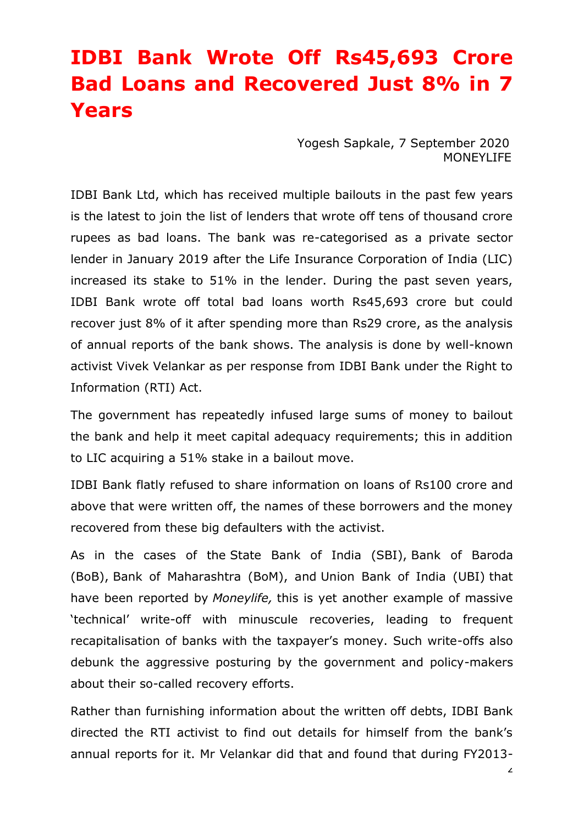# **IDBI Bank Wrote Off Rs45,693 Crore Bad Loans and Recovered Just 8% in 7 Years**

Yogesh [Sapkale,](https://www.moneylife.in/author/yogesh-sapkale.html) 7 September 2020 MONEYLIFE

IDBI Bank Ltd, which has received multiple bailouts in the past few years is the latest to join the list of lenders that wrote off tens of thousand crore rupees as bad loans. The bank was re-categorised as a private sector lender in January 2019 after the Life Insurance Corporation of India (LIC) increased its stake to 51% in the lender. During the past seven years, IDBI Bank wrote off total bad loans worth Rs45,693 crore but could recover just 8% of it after spending more than Rs29 crore, as the analysis of annual reports of the bank shows. The analysis is done by well-known activist Vivek Velankar as per response from IDBI Bank under the Right to Information (RTI) Act.

The government has repeatedly infused large sums of money to bailout the bank and help it meet capital adequacy requirements; this in addition to LIC acquiring a 51% stake in a bailout move.

IDBI Bank flatly refused to share information on loans of Rs100 crore and above that were written off, the names of these borrowers and the money recovered from these big defaulters with the activist.

As in the cases of the State Bank of India [\(SBI\),](https://www.moneylife.in/article/sbi-writes-off-rs123-lakh-crore-of-bad-debt-recovers-paltry-rs8969-crore-in-8-years/60905.html) Bank of [Baroda](https://www.moneylife.in/article/bank-of-baroda-follows-sbi-writes-off-rs21474-crore-in-bad-loans-recovers-only-rs1057-crore-in-past-8-years/61150.html) [\(BoB\),](https://www.moneylife.in/article/bank-of-baroda-follows-sbi-writes-off-rs21474-crore-in-bad-loans-recovers-only-rs1057-crore-in-past-8-years/61150.html) Bank of [Maharashtra](https://www.moneylife.in/article/bank-of-maharashtra-writes-off-rs7100-crore-bad-loans-recovers-just-4-percentage-in-8-years/61189.html) (BoM), and [Union](https://www.moneylife.in/article/union-bank-of-india-writes-off-rs26027-crore-as-bad-loans-in-8-years-stalls-query-on-recoveries-and-big-defaulters-names/61409.html) Bank of India (UBI) that have been reported by *Moneylife,* this is yet another example of massive 'technical' write-off with minuscule recoveries, leading to frequent recapitalisation of banks with the taxpayer's money. Such write-offs also debunk the aggressive posturing by the government and policy-makers about their so-called recovery efforts.

Rather than furnishing information about the written off debts, IDBI Bank directed the RTI activist to find out details for himself from the bank's annual reports for it. Mr Velankar did that and found that during FY2013-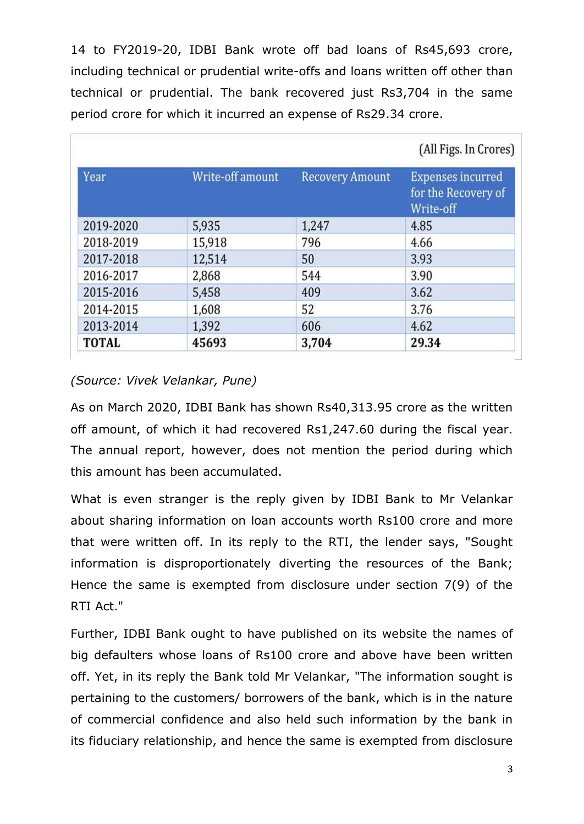14 to FY2019-20, IDBI Bank wrote off bad loans of Rs45,693 crore, including technical or prudential write-offs and loans written off other than technical or prudential. The bank recovered just Rs3,704 in the same period crore for which it incurred an expense of Rs29.34 crore.

|              |                  |                        | (All Figs. In Crores)                                        |
|--------------|------------------|------------------------|--------------------------------------------------------------|
| <b>Year</b>  | Write-off amount | <b>Recovery Amount</b> | <b>Expenses incurred</b><br>for the Recovery of<br>Write-off |
| 2019-2020    | 5,935            | 1,247                  | 4.85                                                         |
| 2018-2019    | 15,918           | 796                    | 4.66                                                         |
| 2017-2018    | 12,514           | 50                     | 3.93                                                         |
| 2016-2017    | 2,868            | 544                    | 3.90                                                         |
| 2015-2016    | 5,458            | 409                    | 3.62                                                         |
| 2014-2015    | 1,608            | 52                     | 3.76                                                         |
| 2013-2014    | 1,392            | 606                    | 4.62                                                         |
| <b>TOTAL</b> | 45693            | 3,704                  | 29.34                                                        |

#### *(Source: Vivek Velankar, Pune)*

As on March 2020, IDBI Bank has shown Rs40,313.95 crore as the written off amount, of which it had recovered Rs1,247.60 during the fiscal year. The annual report, however, does not mention the period during which this amount has been accumulated.

What is even stranger is the reply given by IDBI Bank to Mr Velankar about sharing information on loan accounts worth Rs100 crore and more that were written off. In its reply to the RTI, the lender says, "Sought information is disproportionately diverting the resources of the Bank; Hence the same is exempted from disclosure under section 7(9) of the RTI Act."

Further, IDBI Bank ought to have published on its website the names of big defaulters whose loans of Rs100 crore and above have been written off. Yet, in its reply the Bank told Mr Velankar, "The information sought is pertaining to the customers/ borrowers of the bank, which is in the nature of commercial confidence and also held such information by the bank in its fiduciary relationship, and hence the same is exempted from disclosure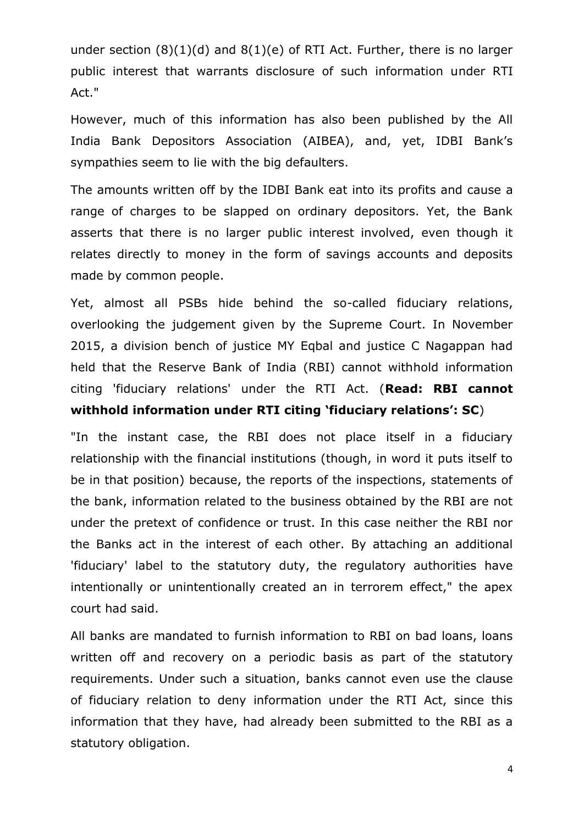under section (8)(1)(d) and 8(1)(e) of RTI Act. Further, there is no larger public interest that warrants disclosure of such information under RTI Act."

However, much of this information has also been published by the All India Bank Depositors Association (AIBEA), and, yet, IDBI Bank's sympathies seem to lie with the big defaulters.

The amounts written off by the IDBI Bank eat into its profits and cause a range of charges to be slapped on ordinary depositors. Yet, the Bank asserts that there is no larger public interest involved, even though it relates directly to money in the form of savings accounts and deposits made by common people.

Yet, almost all PSBs hide behind the so-called fiduciary relations, overlooking the judgement given by the Supreme Court. In November 2015, a division bench of justice MY Eqbal and justice C Nagappan had held that the Reserve Bank of India (RBI) cannot withhold information citing 'fiduciary relations' under the RTI Act. (**Read: RBI [cannot](https://www.moneylife.in/article/rbi-cannot-withhold-information-under-rti-citing-fiduciary-relations-sc/44542.html) withhold [information](https://www.moneylife.in/article/rbi-cannot-withhold-information-under-rti-citing-fiduciary-relations-sc/44542.html) under RTI citing 'fiduciary relations': SC**)

"In the instant case, the RBI does not place itself in a fiduciary relationship with the financial institutions (though, in word it puts itself to be in that position) because, the reports of the inspections, statements of the bank, information related to the business obtained by the RBI are not under the pretext of confidence or trust. In this case neither the RBI nor the Banks act in the interest of each other. By attaching an additional 'fiduciary' label to the statutory duty, the regulatory authorities have intentionally or unintentionally created an in terrorem effect," the apex court had said.

All banks are mandated to furnish information to RBI on bad loans, loans written off and recovery on a periodic basis as part of the statutory requirements. Under such a situation, banks cannot even use the clause of fiduciary relation to deny information under the RTI Act, since this information that they have, had already been submitted to the RBI as a statutory obligation.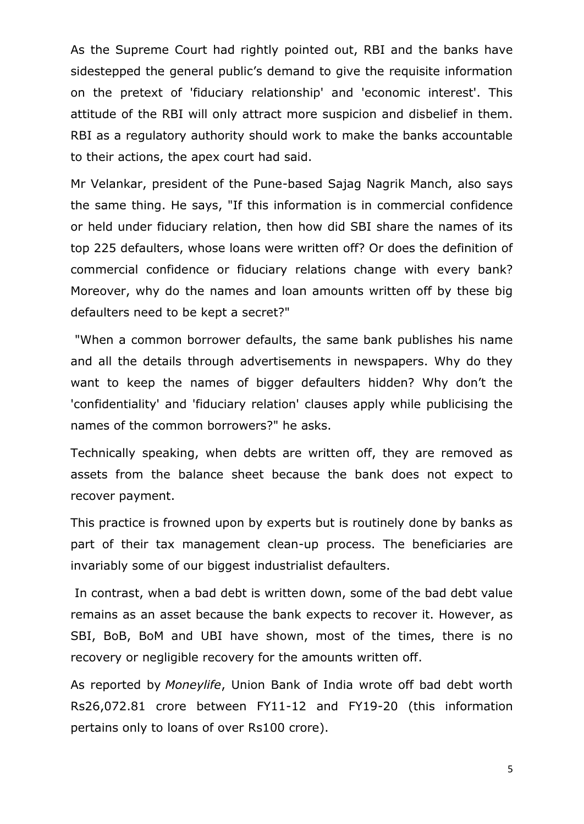As the Supreme Court had rightly pointed out, RBI and the banks have sidestepped the general public's demand to give the requisite information on the pretext of 'fiduciary relationship' and 'economic interest'. This attitude of the RBI will only attract more suspicion and disbelief in them. RBI as a regulatory authority should work to make the banks accountable to their actions, the apex court had said.

Mr Velankar, president of the Pune-based Sajag Nagrik Manch, also says the same thing. He says, "If this information is in commercial confidence or held under fiduciary relation, then how did SBI share the names of its top 225 defaulters, whose loans were written off? Or does the definition of commercial confidence or fiduciary relations change with every bank? Moreover, why do the names and loan amounts written off by these big defaulters need to be kept a secret?"

"When a common borrower defaults, the same bank publishes his name and all the details through advertisements in newspapers. Why do they want to keep the names of bigger defaulters hidden? Why don't the 'confidentiality' and 'fiduciary relation' clauses apply while publicising the names of the common borrowers?" he asks.

Technically speaking, when debts are written off, they are removed as assets from the balance sheet because the bank does not expect to recover payment.

This practice is frowned upon by experts but is routinely done by banks as part of their tax management clean-up process. The beneficiaries are invariably some of our biggest industrialist defaulters.

In contrast, when a bad debt is written down, some of the bad debt value remains as an asset because the bank expects to recover it. However, as SBI, BoB, BoM and UBI have shown, most of the times, there is no recovery or negligible recovery for the amounts written off.

As reported by *Moneylife*, Union Bank of India wrote off bad debt worth Rs26,072.81 crore between FY11-12 and FY19-20 (this information pertains only to loans of over Rs100 crore).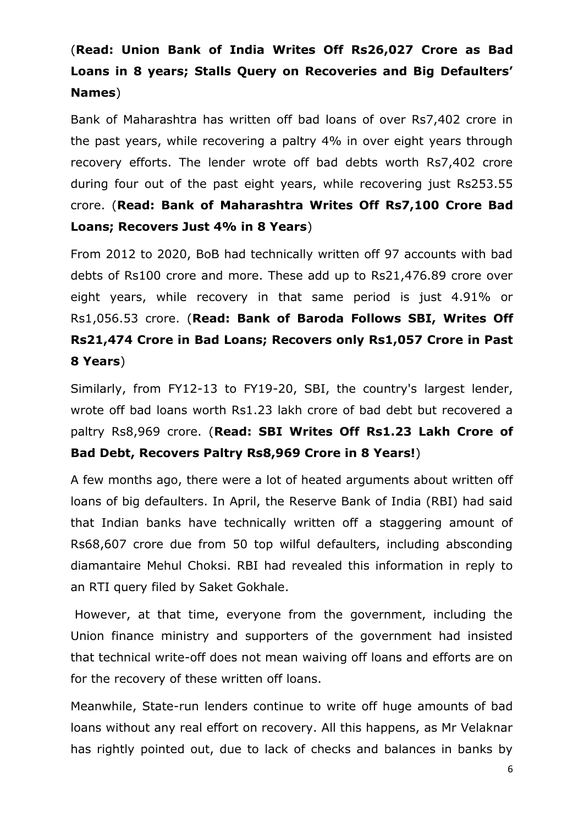### (**Read: Union Bank of India Writes Off [Rs26,027](https://www.moneylife.in/article/union-bank-of-india-writes-off-rs26027-crore-as-bad-loans-in-8-years-stalls-query-on-recoveries-and-big-defaulters-names/61409.html) Crore as Bad Loans in 8 years; Stalls Query on Recoveries and Big [Defaulters'](https://www.moneylife.in/article/union-bank-of-india-writes-off-rs26027-crore-as-bad-loans-in-8-years-stalls-query-on-recoveries-and-big-defaulters-names/61409.html) [Names](https://www.moneylife.in/article/union-bank-of-india-writes-off-rs26027-crore-as-bad-loans-in-8-years-stalls-query-on-recoveries-and-big-defaulters-names/61409.html)**)

Bank of Maharashtra has written off bad loans of over Rs7,402 crore in the past years, while recovering a paltry 4% in over eight years through recovery efforts. The lender wrote off bad debts worth Rs7,402 crore during four out of the past eight years, while recovering just Rs253.55 crore. (**Read: Bank of [Maharashtra](https://www.moneylife.in/article/bank-of-maharashtra-writes-off-rs7100-crore-bad-loans-recovers-just-4-percentage-in-8-years/61189.html) Writes Off Rs7,100 Crore Bad Loans; [Recovers](https://www.moneylife.in/article/bank-of-maharashtra-writes-off-rs7100-crore-bad-loans-recovers-just-4-percentage-in-8-years/61189.html) Just 4% in 8 Years**)

From 2012 to 2020, BoB had technically written off 97 accounts with bad debts of Rs100 crore and more. These add up to Rs21,476.89 crore over eight years, while recovery in that same period is just 4.91% or Rs1,056.53 crore. (**Read: Bank of Baroda [Follows](https://www.moneylife.in/article/bank-of-baroda-follows-sbi-writes-off-rs21474-crore-in-bad-loans-recovers-only-rs1057-crore-in-past-8-years/61150.html) SBI, Writes Off [Rs21,474](https://www.moneylife.in/article/bank-of-baroda-follows-sbi-writes-off-rs21474-crore-in-bad-loans-recovers-only-rs1057-crore-in-past-8-years/61150.html) Crore in Bad Loans; Recovers only Rs1,057 Crore in Past 8 [Years](https://www.moneylife.in/article/bank-of-baroda-follows-sbi-writes-off-rs21474-crore-in-bad-loans-recovers-only-rs1057-crore-in-past-8-years/61150.html)**)

Similarly, from FY12-13 to FY19-20, SBI, the country's largest lender, wrote off bad loans worth Rs1.23 lakh crore of bad debt but recovered a paltry Rs8,969 crore. (**Read: SBI Writes Off [Rs1.23](https://www.moneylife.in/article/sbi-writes-off-rs123-lakh-crore-of-bad-debt-recovers-paltry-rs8969-crore-in-8-years/60905.html) Lakh Crore of Bad Debt, [Recovers](https://www.moneylife.in/article/sbi-writes-off-rs123-lakh-crore-of-bad-debt-recovers-paltry-rs8969-crore-in-8-years/60905.html) Paltry Rs8,969 Crore in 8 Years!**)

A few months ago, there were a lot of heated arguments about written off loans of big defaulters. In April, the Reserve Bank of India (RBI) had said that Indian banks have technically written off a staggering amount of Rs68,607 crore due from 50 top wilful defaulters, including absconding diamantaire Mehul Choksi. RBI had revealed this information in reply to an RTI query filed by Saket Gokhale.

However, at that time, everyone from the government, including the Union finance ministry and supporters of the government had insisted that technical write-off does not mean waiving off loans and efforts are on for the recovery of these written off loans.

Meanwhile, State-run lenders continue to write off huge amounts of bad loans without any real effort on recovery. All this happens, as Mr Velaknar has rightly pointed out, due to lack of checks and balances in banks by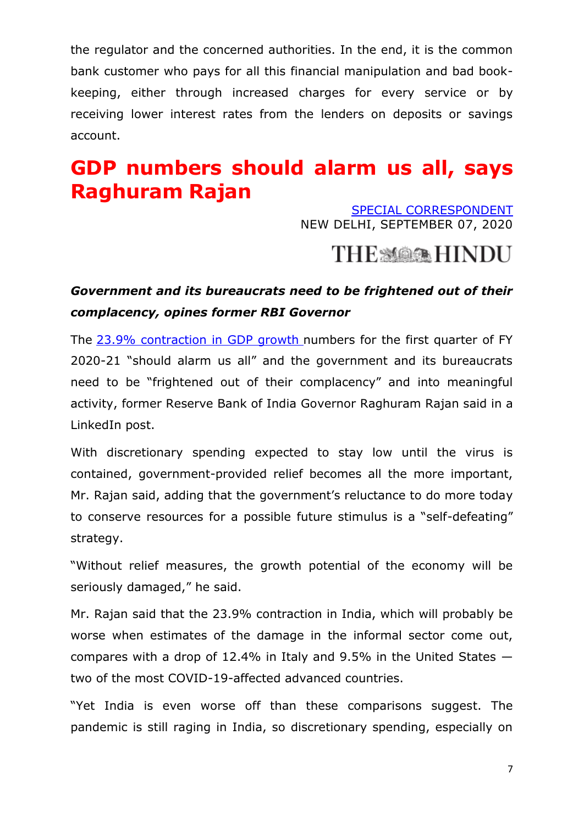the regulator and the concerned authorities. In the end, it is the common bank customer who pays for all this financial manipulation and bad bookkeeping, either through increased charges for every service or by receiving lower interest rates from the lenders on deposits or savings account.

## **GDP numbers should alarm us all, says Raghuram Rajan**

[SPECIAL CORRESPONDENT](https://www.thehindu.com/business/Economy/gdp-numbers-should-alarm-us-all-says-raghuram-rajan/article32540742.ece?homepage=true) NEW DELHI, SEPTEMBER 07, 2020

### THE MARK HINDU

### *Government and its bureaucrats need to be frightened out of their complacency, opines former RBI Governor*

The [23.9% contraction in GDP growth](https://www.thehindu.com/business/Economy/indias-gdp-contracts-by-record-239-in-q1/article32489345.ece) numbers for the first quarter of FY 2020-21 "should alarm us all" and the government and its bureaucrats need to be "frightened out of their complacency" and into meaningful activity, former Reserve Bank of India Governor Raghuram Rajan said in a LinkedIn post.

With discretionary spending expected to stay low until the virus is contained, government-provided relief becomes all the more important, Mr. Rajan said, adding that the government's reluctance to do more today to conserve resources for a possible future stimulus is a "self-defeating" strategy.

"Without relief measures, the growth potential of the economy will be seriously damaged," he said.

Mr. Rajan said that the 23.9% contraction in India, which will probably be worse when estimates of the damage in the informal sector come out, compares with a drop of 12.4% in Italy and 9.5% in the United States two of the most COVID-19-affected advanced countries.

"Yet India is even worse off than these comparisons suggest. The pandemic is still raging in India, so discretionary spending, especially on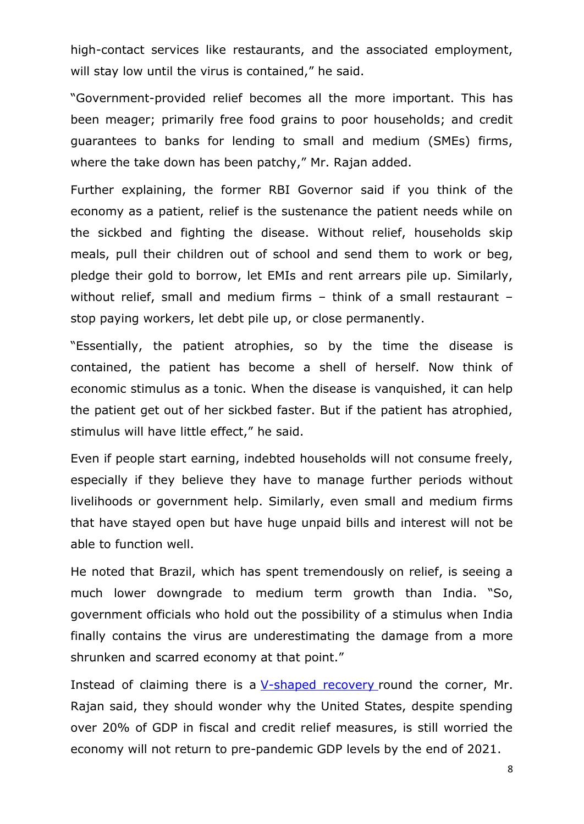high-contact services like restaurants, and the associated employment, will stay low until the virus is contained," he said.

―Government-provided relief becomes all the more important. This has been meager; primarily free food grains to poor households; and credit guarantees to banks for lending to small and medium (SMEs) firms, where the take down has been patchy," Mr. Rajan added.

Further explaining, the former RBI Governor said if you think of the economy as a patient, relief is the sustenance the patient needs while on the sickbed and fighting the disease. Without relief, households skip meals, pull their children out of school and send them to work or beg, pledge their gold to borrow, let EMIs and rent arrears pile up. Similarly, without relief, small and medium firms – think of a small restaurant – stop paying workers, let debt pile up, or close permanently.

"Essentially, the patient atrophies, so by the time the disease is contained, the patient has become a shell of herself. Now think of economic stimulus as a tonic. When the disease is vanquished, it can help the patient get out of her sickbed faster. But if the patient has atrophied, stimulus will have little effect," he said.

Even if people start earning, indebted households will not consume freely, especially if they believe they have to manage further periods without livelihoods or government help. Similarly, even small and medium firms that have stayed open but have huge unpaid bills and interest will not be able to function well.

He noted that Brazil, which has spent tremendously on relief, is seeing a much lower downgrade to medium term growth than India. "So, government officials who hold out the possibility of a stimulus when India finally contains the virus are underestimating the damage from a more shrunken and scarred economy at that point."

Instead of claiming there is a  $V$ -shaped recovery round the corner, Mr. Rajan said, they should wonder why the United States, despite spending over 20% of GDP in fiscal and credit relief measures, is still worried the economy will not return to pre-pandemic GDP levels by the end of 2021.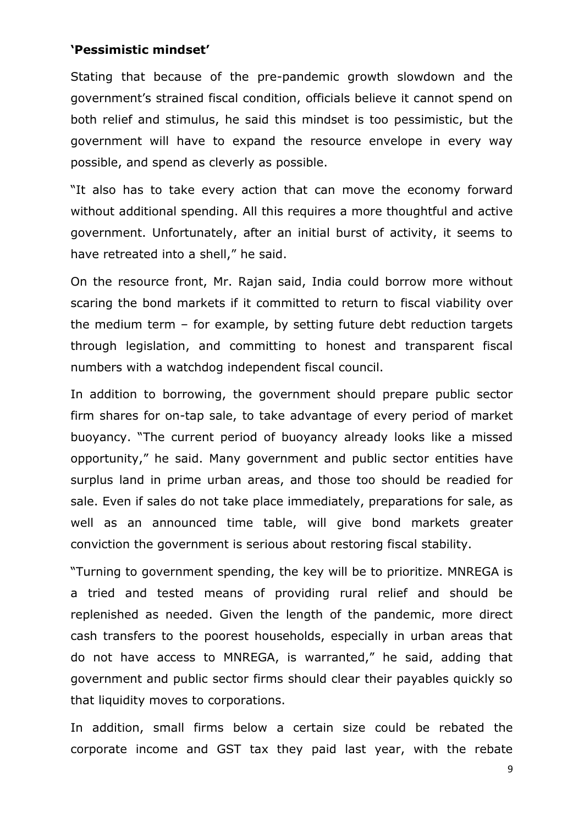#### **'Pessimistic mindset'**

Stating that because of the pre-pandemic growth slowdown and the government's strained fiscal condition, officials believe it cannot spend on both relief and stimulus, he said this mindset is too pessimistic, but the government will have to expand the resource envelope in every way possible, and spend as cleverly as possible.

"It also has to take every action that can move the economy forward without additional spending. All this requires a more thoughtful and active government. Unfortunately, after an initial burst of activity, it seems to have retreated into a shell," he said.

On the resource front, Mr. Rajan said, India could borrow more without scaring the bond markets if it committed to return to fiscal viability over the medium term – for example, by setting future debt reduction targets through legislation, and committing to honest and transparent fiscal numbers with a watchdog independent fiscal council.

In addition to borrowing, the government should prepare public sector firm shares for on-tap sale, to take advantage of every period of market buoyancy. "The current period of buoyancy already looks like a missed opportunity," he said. Many government and public sector entities have surplus land in prime urban areas, and those too should be readied for sale. Even if sales do not take place immediately, preparations for sale, as well as an announced time table, will give bond markets greater conviction the government is serious about restoring fiscal stability.

―Turning to government spending, the key will be to prioritize. MNREGA is a tried and tested means of providing rural relief and should be replenished as needed. Given the length of the pandemic, more direct cash transfers to the poorest households, especially in urban areas that do not have access to MNREGA, is warranted," he said, adding that government and public sector firms should clear their payables quickly so that liquidity moves to corporations.

In addition, small firms below a certain size could be rebated the corporate income and GST tax they paid last year, with the rebate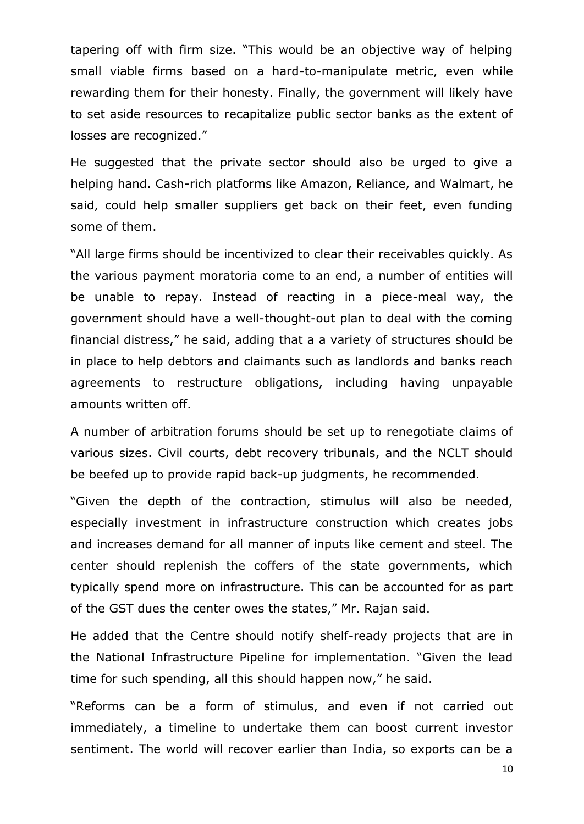tapering off with firm size. "This would be an objective way of helping small viable firms based on a hard-to-manipulate metric, even while rewarding them for their honesty. Finally, the government will likely have to set aside resources to recapitalize public sector banks as the extent of losses are recognized."

He suggested that the private sector should also be urged to give a helping hand. Cash-rich platforms like Amazon, Reliance, and Walmart, he said, could help smaller suppliers get back on their feet, even funding some of them.

"All large firms should be incentivized to clear their receivables quickly. As the various payment moratoria come to an end, a number of entities will be unable to repay. Instead of reacting in a piece-meal way, the government should have a well-thought-out plan to deal with the coming financial distress," he said, adding that a a variety of structures should be in place to help debtors and claimants such as landlords and banks reach agreements to restructure obligations, including having unpayable amounts written off.

A number of arbitration forums should be set up to renegotiate claims of various sizes. Civil courts, debt recovery tribunals, and the NCLT should be beefed up to provide rapid back-up judgments, he recommended.

"Given the depth of the contraction, stimulus will also be needed, especially investment in infrastructure construction which creates jobs and increases demand for all manner of inputs like cement and steel. The center should replenish the coffers of the state governments, which typically spend more on infrastructure. This can be accounted for as part of the GST dues the center owes the states," Mr. Rajan said.

He added that the Centre should notify shelf-ready projects that are in the National Infrastructure Pipeline for implementation. "Given the lead time for such spending, all this should happen now," he said.

"Reforms can be a form of stimulus, and even if not carried out immediately, a timeline to undertake them can boost current investor sentiment. The world will recover earlier than India, so exports can be a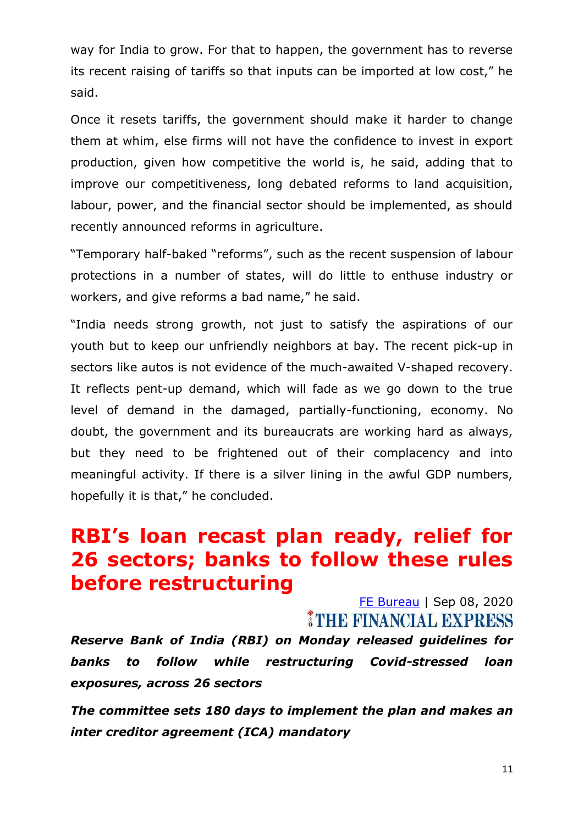way for India to grow. For that to happen, the government has to reverse its recent raising of tariffs so that inputs can be imported at low cost," he said.

Once it resets tariffs, the government should make it harder to change them at whim, else firms will not have the confidence to invest in export production, given how competitive the world is, he said, adding that to improve our competitiveness, long debated reforms to land acquisition, labour, power, and the financial sector should be implemented, as should recently announced reforms in agriculture.

"Temporary half-baked "reforms", such as the recent suspension of labour protections in a number of states, will do little to enthuse industry or workers, and give reforms a bad name," he said.

"India needs strong growth, not just to satisfy the aspirations of our youth but to keep our unfriendly neighbors at bay. The recent pick-up in sectors like autos is not evidence of the much-awaited V-shaped recovery. It reflects pent-up demand, which will fade as we go down to the true level of demand in the damaged, partially-functioning, economy. No doubt, the government and its bureaucrats are working hard as always, but they need to be frightened out of their complacency and into meaningful activity. If there is a silver lining in the awful GDP numbers, hopefully it is that," he concluded.

### **RBI's loan recast plan ready, relief for 26 sectors; banks to follow these rules before restructuring**

[FE Bureau](https://www.financialexpress.com/author/fe-bureau/) | Sep 08, 2020 THE FINANCIAL EXPRESS

*Reserve Bank of India (RBI) on Monday released guidelines for banks to follow while restructuring Covid-stressed loan exposures, across 26 sectors*

*The committee sets 180 days to implement the plan and makes an inter creditor agreement (ICA) mandatory*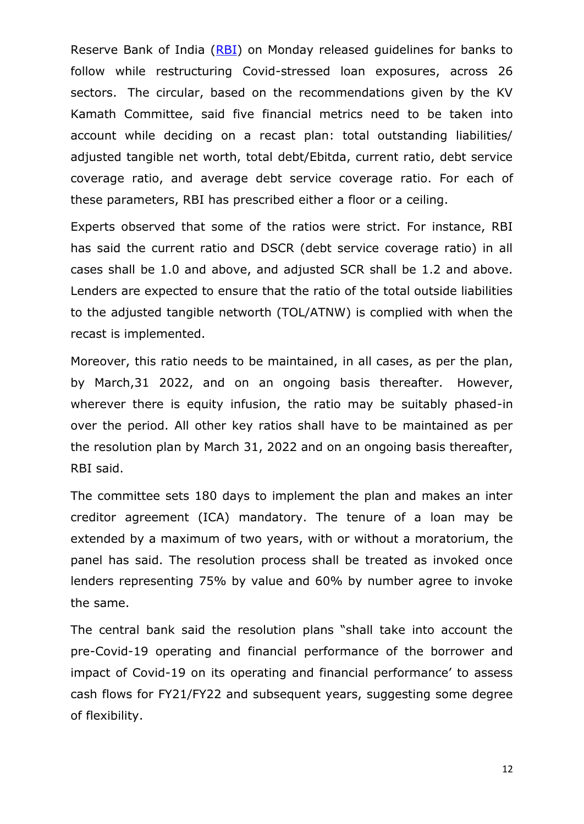Reserve Bank of India [\(RBI\)](https://www.financialexpress.com/tag/rbi/) on Monday released guidelines for banks to follow while restructuring Covid-stressed loan exposures, across 26 sectors. The circular, based on the recommendations given by the KV Kamath Committee, said five financial metrics need to be taken into account while deciding on a recast plan: total outstanding liabilities/ adjusted tangible net worth, total debt/Ebitda, current ratio, debt service coverage ratio, and average debt service coverage ratio. For each of these parameters, RBI has prescribed either a floor or a ceiling.

Experts observed that some of the ratios were strict. For instance, RBI has said the current ratio and DSCR (debt service coverage ratio) in all cases shall be 1.0 and above, and adjusted SCR shall be 1.2 and above. Lenders are expected to ensure that the ratio of the total outside liabilities to the adjusted tangible networth (TOL/ATNW) is complied with when the recast is implemented.

Moreover, this ratio needs to be maintained, in all cases, as per the plan, by March,31 2022, and on an ongoing basis thereafter. However, wherever there is equity infusion, the ratio may be suitably phased-in over the period. All other key ratios shall have to be maintained as per the resolution plan by March 31, 2022 and on an ongoing basis thereafter, RBI said.

The committee sets 180 days to implement the plan and makes an inter creditor agreement (ICA) mandatory. The tenure of a loan may be extended by a maximum of two years, with or without a moratorium, the panel has said. The resolution process shall be treated as invoked once lenders representing 75% by value and 60% by number agree to invoke the same.

The central bank said the resolution plans "shall take into account the pre-Covid-19 operating and financial performance of the borrower and impact of Covid-19 on its operating and financial performance' to assess cash flows for FY21/FY22 and subsequent years, suggesting some degree of flexibility.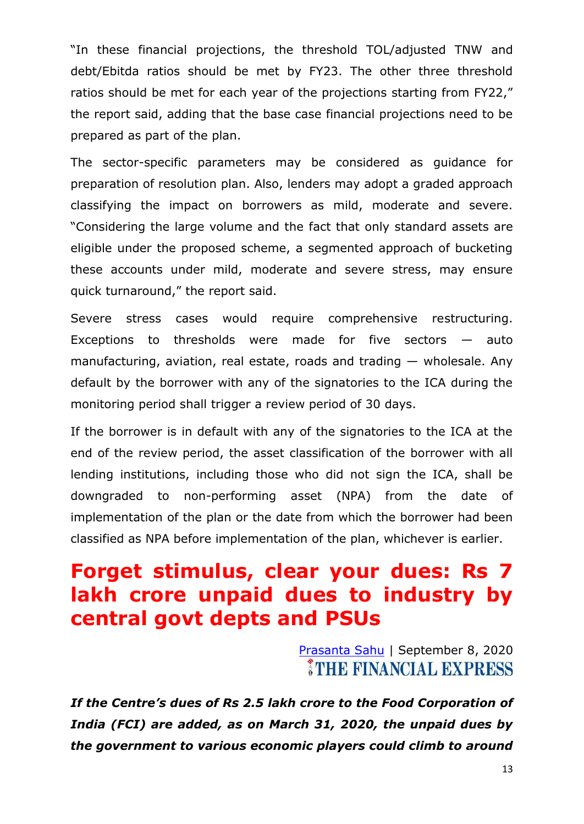"In these financial projections, the threshold TOL/adjusted TNW and debt/Ebitda ratios should be met by FY23. The other three threshold ratios should be met for each year of the projections starting from FY22," the report said, adding that the base case financial projections need to be prepared as part of the plan.

The sector-specific parameters may be considered as guidance for preparation of resolution plan. Also, lenders may adopt a graded approach classifying the impact on borrowers as mild, moderate and severe. ―Considering the large volume and the fact that only standard assets are eligible under the proposed scheme, a segmented approach of bucketing these accounts under mild, moderate and severe stress, may ensure quick turnaround," the report said.

Severe stress cases would require comprehensive restructuring. Exceptions to thresholds were made for five sectors  $-$  auto manufacturing, aviation, real estate, roads and trading — wholesale. Any default by the borrower with any of the signatories to the ICA during the monitoring period shall trigger a review period of 30 days.

If the borrower is in default with any of the signatories to the ICA at the end of the review period, the asset classification of the borrower with all lending institutions, including those who did not sign the ICA, shall be downgraded to non-performing asset (NPA) from the date of implementation of the plan or the date from which the borrower had been classified as NPA before implementation of the plan, whichever is earlier.

## **Forget stimulus, clear your dues: Rs 7 lakh crore unpaid dues to industry by central govt depts and PSUs**

[Prasanta Sahu](https://www.financialexpress.com/author/prasanta-sahu/) | September 8, 2020 **STHE FINANCIAL EXPRESS** 

*If the Centre's dues of Rs 2.5 lakh crore to the Food Corporation of India (FCI) are added, as on March 31, 2020, the unpaid dues by the government to various economic players could climb to around*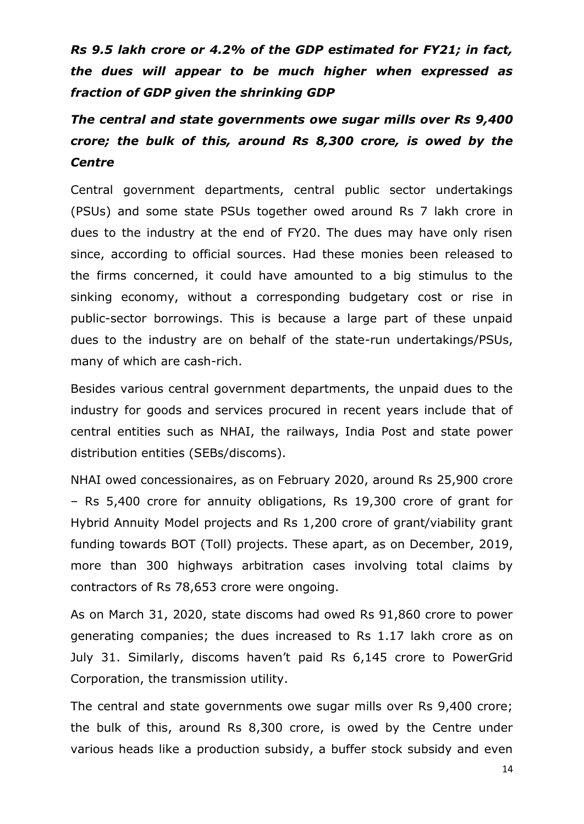*Rs 9.5 lakh crore or 4.2% of the GDP estimated for FY21; in fact, the dues will appear to be much higher when expressed as fraction of GDP given the shrinking GDP*

*The central and state governments owe sugar mills over Rs 9,400 crore; the bulk of this, around Rs 8,300 crore, is owed by the Centre*

Central government departments, central public sector undertakings (PSUs) and some state PSUs together owed around Rs 7 lakh crore in dues to the industry at the end of FY20. The dues may have only risen since, according to official sources. Had these monies been released to the firms concerned, it could have amounted to a big stimulus to the sinking economy, without a corresponding budgetary cost or rise in public-sector borrowings. This is because a large part of these unpaid dues to the industry are on behalf of the state-run undertakings/PSUs, many of which are cash-rich.

Besides various central government departments, the unpaid dues to the industry for goods and services procured in recent years include that of central entities such as NHAI, the railways, India Post and state power distribution entities (SEBs/discoms).

NHAI owed concessionaires, as on February 2020, around Rs 25,900 crore – Rs 5,400 crore for annuity obligations, Rs 19,300 crore of grant for Hybrid Annuity Model projects and Rs 1,200 crore of grant/viability grant funding towards BOT (Toll) projects. These apart, as on December, 2019, more than 300 highways arbitration cases involving total claims by contractors of Rs 78,653 crore were ongoing.

As on March 31, 2020, state discoms had owed Rs 91,860 crore to power generating companies; the dues increased to Rs 1.17 lakh crore as on July 31. Similarly, discoms haven't paid Rs 6,145 crore to PowerGrid Corporation, the transmission utility.

The central and state governments owe sugar mills over Rs 9,400 crore; the bulk of this, around Rs 8,300 crore, is owed by the Centre under various heads like a production subsidy, a buffer stock subsidy and even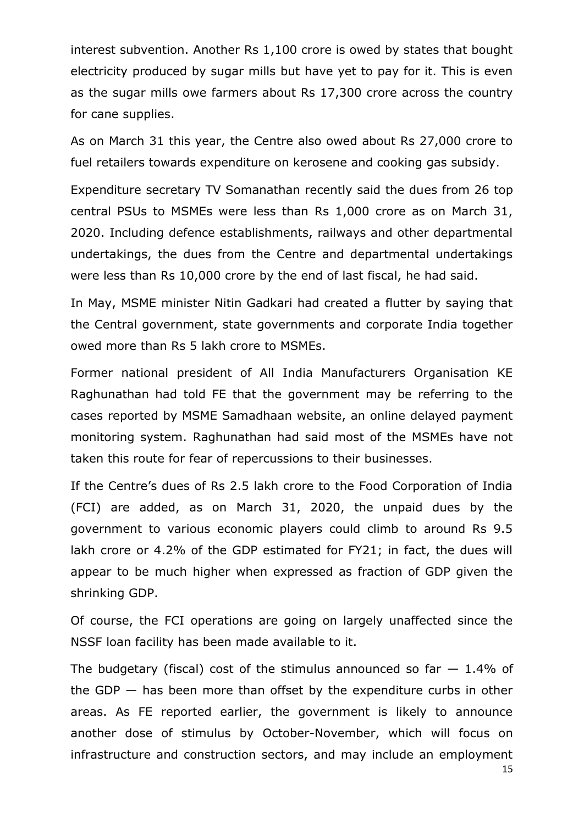interest subvention. Another Rs 1,100 crore is owed by states that bought electricity produced by sugar mills but have yet to pay for it. This is even as the sugar mills owe farmers about Rs 17,300 crore across the country for cane supplies.

As on March 31 this year, the Centre also owed about Rs 27,000 crore to fuel retailers towards expenditure on kerosene and cooking gas subsidy.

Expenditure secretary TV Somanathan recently said the dues from 26 top central PSUs to MSMEs were less than Rs 1,000 crore as on March 31, 2020. Including defence establishments, railways and other departmental undertakings, the dues from the Centre and departmental undertakings were less than Rs 10,000 crore by the end of last fiscal, he had said.

In May, MSME minister Nitin Gadkari had created a flutter by saying that the Central government, state governments and corporate India together owed more than Rs 5 lakh crore to MSMEs.

Former national president of All India Manufacturers Organisation KE Raghunathan had told FE that the government may be referring to the cases reported by MSME Samadhaan website, an online delayed payment monitoring system. Raghunathan had said most of the MSMEs have not taken this route for fear of repercussions to their businesses.

If the Centre's dues of Rs 2.5 lakh crore to the Food Corporation of India (FCI) are added, as on March 31, 2020, the unpaid dues by the government to various economic players could climb to around Rs 9.5 lakh crore or 4.2% of the GDP estimated for FY21; in fact, the dues will appear to be much higher when expressed as fraction of GDP given the shrinking GDP.

Of course, the FCI operations are going on largely unaffected since the NSSF loan facility has been made available to it.

The budgetary (fiscal) cost of the stimulus announced so far  $-1.4\%$  of the GDP  $-$  has been more than offset by the expenditure curbs in other areas. As FE reported earlier, the government is likely to announce another dose of stimulus by October-November, which will focus on infrastructure and construction sectors, and may include an employment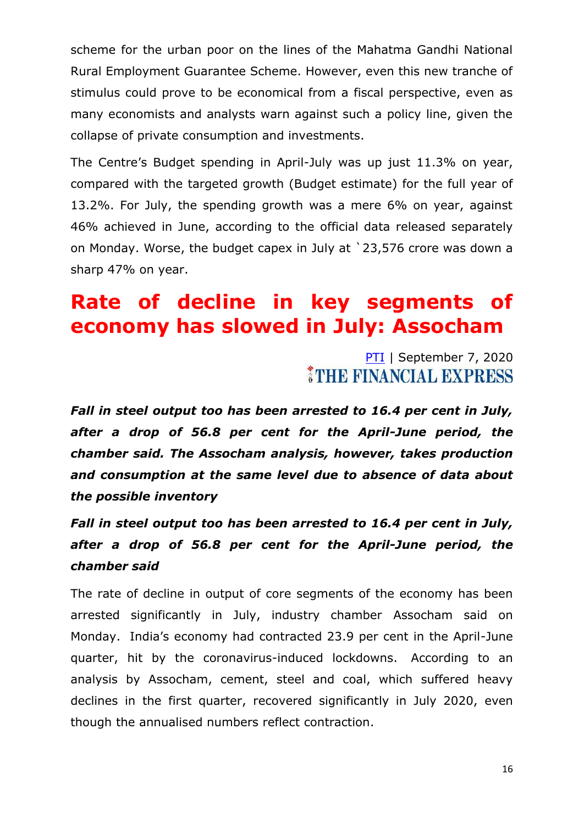scheme for the urban poor on the lines of the Mahatma Gandhi National Rural Employment Guarantee Scheme. However, even this new tranche of stimulus could prove to be economical from a fiscal perspective, even as many economists and analysts warn against such a policy line, given the collapse of private consumption and investments.

The Centre's Budget spending in April-July was up just 11.3% on year, compared with the targeted growth (Budget estimate) for the full year of 13.2%. For July, the spending growth was a mere 6% on year, against 46% achieved in June, according to the official data released separately on Monday. Worse, the budget capex in July at `23,576 crore was down a sharp 47% on year.

## **Rate of decline in key segments of economy has slowed in July: Assocham**

[PTI](https://www.financialexpress.com/author/pti/) | September 7, 2020 THE FINANCIAL EXPRESS

*Fall in steel output too has been arrested to 16.4 per cent in July, after a drop of 56.8 per cent for the April-June period, the chamber said. The Assocham analysis, however, takes production and consumption at the same level due to absence of data about the possible inventory*

*Fall in steel output too has been arrested to 16.4 per cent in July, after a drop of 56.8 per cent for the April-June period, the chamber said*

The rate of decline in output of core segments of the economy has been arrested significantly in July, industry chamber Assocham said on Monday. India's economy had contracted 23.9 per cent in the April-June quarter, hit by the coronavirus-induced lockdowns. According to an analysis by Assocham, cement, steel and coal, which suffered heavy declines in the first quarter, recovered significantly in July 2020, even though the annualised numbers reflect contraction.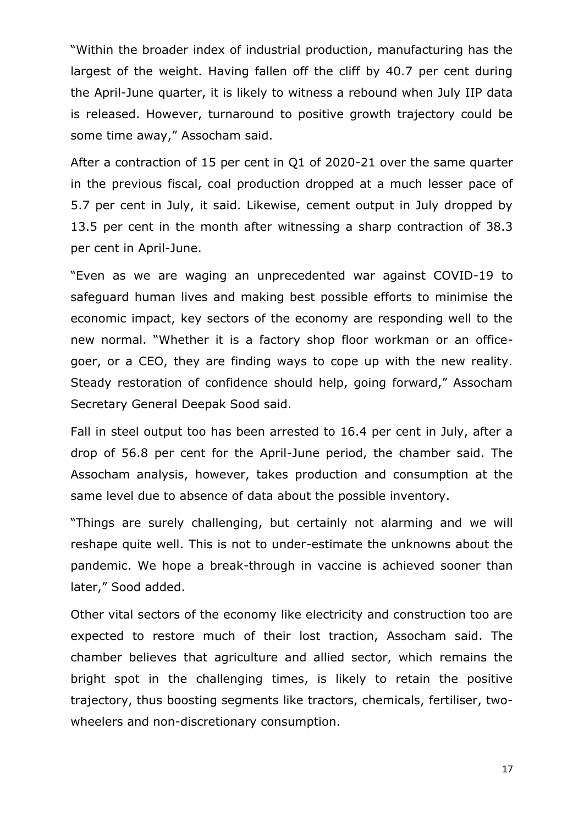"Within the broader index of industrial production, manufacturing has the largest of the weight. Having fallen off the cliff by 40.7 per cent during the April-June quarter, it is likely to witness a rebound when July IIP data is released. However, turnaround to positive growth trajectory could be some time away," Assocham said.

After a contraction of 15 per cent in Q1 of 2020-21 over the same quarter in the previous fiscal, coal production dropped at a much lesser pace of 5.7 per cent in July, it said. Likewise, cement output in July dropped by 13.5 per cent in the month after witnessing a sharp contraction of 38.3 per cent in April-June.

―Even as we are waging an unprecedented war against COVID-19 to safeguard human lives and making best possible efforts to minimise the economic impact, key sectors of the economy are responding well to the new normal. "Whether it is a factory shop floor workman or an officegoer, or a CEO, they are finding ways to cope up with the new reality. Steady restoration of confidence should help, going forward," Assocham Secretary General Deepak Sood said.

Fall in steel output too has been arrested to 16.4 per cent in July, after a drop of 56.8 per cent for the April-June period, the chamber said. The Assocham analysis, however, takes production and consumption at the same level due to absence of data about the possible inventory.

"Things are surely challenging, but certainly not alarming and we will reshape quite well. This is not to under-estimate the unknowns about the pandemic. We hope a break-through in vaccine is achieved sooner than later," Sood added.

Other vital sectors of the economy like electricity and construction too are expected to restore much of their lost traction, Assocham said. The chamber believes that agriculture and allied sector, which remains the bright spot in the challenging times, is likely to retain the positive trajectory, thus boosting segments like tractors, chemicals, fertiliser, twowheelers and non-discretionary consumption.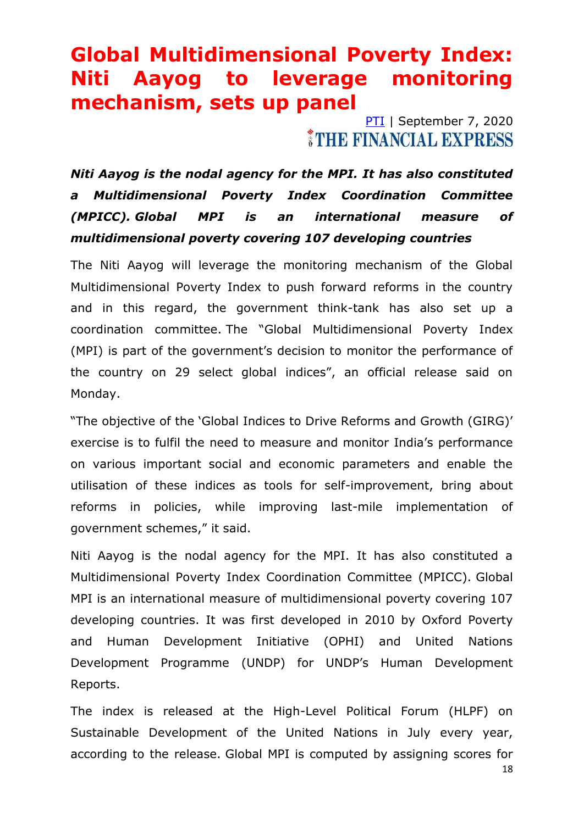### **Global Multidimensional Poverty Index: Niti Aayog to leverage monitoring mechanism, sets up panel**

[PTI](https://www.financialexpress.com/author/pti/) | September 7, 2020 *ITHE FINANCIAL EXPRESS* 

*Niti Aayog is the nodal agency for the MPI. It has also constituted a Multidimensional Poverty Index Coordination Committee (MPICC). Global MPI is an international measure of multidimensional poverty covering 107 developing countries*

The Niti Aayog will leverage the monitoring mechanism of the Global Multidimensional Poverty Index to push forward reforms in the country and in this regard, the government think-tank has also set up a coordination committee. The "Global Multidimensional Poverty Index (MPI) is part of the government's decision to monitor the performance of the country on 29 select global indices", an official release said on Monday.

"The objective of the 'Global Indices to Drive Reforms and Growth (GIRG)' exercise is to fulfil the need to measure and monitor India's performance on various important social and economic parameters and enable the utilisation of these indices as tools for self-improvement, bring about reforms in policies, while improving last-mile implementation of government schemes," it said.

Niti Aayog is the nodal agency for the MPI. It has also constituted a Multidimensional Poverty Index Coordination Committee (MPICC). Global MPI is an international measure of multidimensional poverty covering 107 developing countries. It was first developed in 2010 by Oxford Poverty and Human Development Initiative (OPHI) and United Nations Development Programme (UNDP) for UNDP's Human Development Reports.

The index is released at the High-Level Political Forum (HLPF) on Sustainable Development of the United Nations in July every year, according to the release. Global MPI is computed by assigning scores for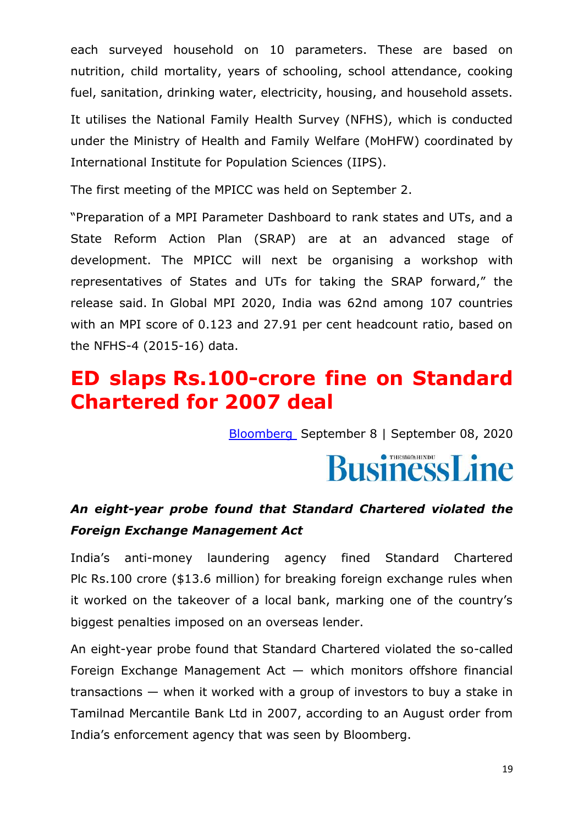each surveyed household on 10 parameters. These are based on nutrition, child mortality, years of schooling, school attendance, cooking fuel, sanitation, drinking water, electricity, housing, and household assets.

It utilises the National Family Health Survey (NFHS), which is conducted under the Ministry of Health and Family Welfare (MoHFW) coordinated by International Institute for Population Sciences (IIPS).

The first meeting of the MPICC was held on September 2.

―Preparation of a MPI Parameter Dashboard to rank states and UTs, and a State Reform Action Plan (SRAP) are at an advanced stage of development. The MPICC will next be organising a workshop with representatives of States and UTs for taking the SRAP forward," the release said. In Global MPI 2020, India was 62nd among 107 countries with an MPI score of 0.123 and 27.91 per cent headcount ratio, based on the NFHS-4 (2015-16) data.

### **ED slaps Rs.100-crore fine on Standard Chartered for 2007 deal**

[Bloomberg](https://www.thehindubusinessline.com/profile/author/Bloomberg-20788/) September 8 | September 08, 2020

# **BusinessLine**

### *An eight-year probe found that Standard Chartered violated the Foreign Exchange Management Act*

India's anti-money laundering agency fined Standard Chartered Plc Rs.100 crore (\$13.6 million) for breaking foreign exchange rules when it worked on the takeover of a local bank, marking one of the country's biggest penalties imposed on an overseas lender.

An eight-year probe found that Standard Chartered violated the so-called Foreign Exchange Management Act — which monitors offshore financial transactions — when it worked with a group of investors to buy a stake in Tamilnad Mercantile Bank Ltd in 2007, according to an August order from India's enforcement agency that was seen by Bloomberg.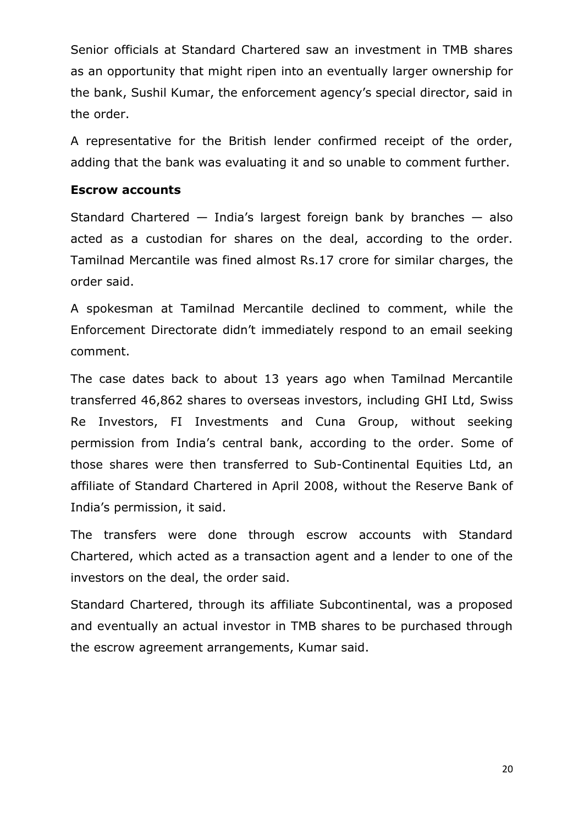Senior officials at Standard Chartered saw an investment in TMB shares as an opportunity that might ripen into an eventually larger ownership for the bank, Sushil Kumar, the enforcement agency's special director, said in the order.

A representative for the British lender confirmed receipt of the order, adding that the bank was evaluating it and so unable to comment further.

#### **Escrow accounts**

Standard Chartered — India's largest foreign bank by branches — also acted as a custodian for shares on the deal, according to the order. Tamilnad Mercantile was fined almost Rs.17 crore for similar charges, the order said.

A spokesman at Tamilnad Mercantile declined to comment, while the Enforcement Directorate didn't immediately respond to an email seeking comment.

The case dates back to about 13 years ago when Tamilnad Mercantile transferred 46,862 shares to overseas investors, including GHI Ltd, Swiss Re Investors, FI Investments and Cuna Group, without seeking permission from India's central bank, according to the order. Some of those shares were then transferred to Sub-Continental Equities Ltd, an affiliate of Standard Chartered in April 2008, without the Reserve Bank of India's permission, it said.

The transfers were done through escrow accounts with Standard Chartered, which acted as a transaction agent and a lender to one of the investors on the deal, the order said.

Standard Chartered, through its affiliate Subcontinental, was a proposed and eventually an actual investor in TMB shares to be purchased through the escrow agreement arrangements, Kumar said.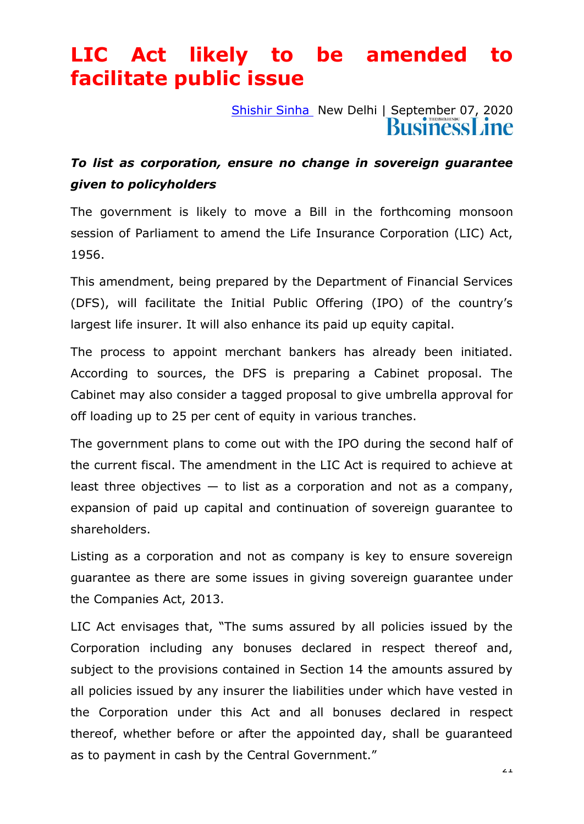## **LIC Act likely to be amended to facilitate public issue**

[Shishir Sinha](https://www.thehindubusinessline.com/profile/author/Shishir-Sinha-19600/) New Delhi | September 07, 2020

### *To list as corporation, ensure no change in sovereign guarantee given to policyholders*

The government is likely to move a Bill in the forthcoming monsoon session of Parliament to amend the Life Insurance Corporation (LIC) Act, 1956.

This amendment, being prepared by the Department of Financial Services (DFS), will facilitate the Initial Public Offering (IPO) of the country's largest life insurer. It will also enhance its paid up equity capital.

The process to appoint merchant bankers has already been initiated. According to sources, the DFS is preparing a Cabinet proposal. The Cabinet may also consider a tagged proposal to give umbrella approval for off loading up to 25 per cent of equity in various tranches.

The government plans to come out with the IPO during the second half of the current fiscal. The amendment in the LIC Act is required to achieve at least three objectives  $-$  to list as a corporation and not as a company, expansion of paid up capital and continuation of sovereign guarantee to shareholders.

Listing as a corporation and not as company is key to ensure sovereign guarantee as there are some issues in giving sovereign guarantee under the Companies Act, 2013.

LIC Act envisages that, "The sums assured by all policies issued by the Corporation including any bonuses declared in respect thereof and, subject to the provisions contained in Section 14 the amounts assured by all policies issued by any insurer the liabilities under which have vested in the Corporation under this Act and all bonuses declared in respect thereof, whether before or after the appointed day, shall be guaranteed as to payment in cash by the Central Government."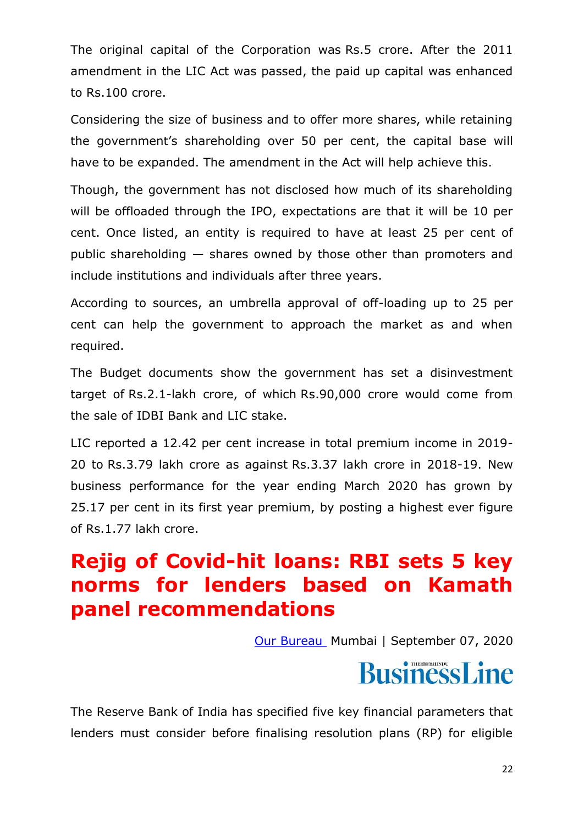The original capital of the Corporation was Rs.5 crore. After the 2011 amendment in the LIC Act was passed, the paid up capital was enhanced to Rs.100 crore.

Considering the size of business and to offer more shares, while retaining the government's shareholding over 50 per cent, the capital base will have to be expanded. The amendment in the Act will help achieve this.

Though, the government has not disclosed how much of its shareholding will be offloaded through the IPO, expectations are that it will be 10 per cent. Once listed, an entity is required to have at least 25 per cent of public shareholding — shares owned by those other than promoters and include institutions and individuals after three years.

According to sources, an umbrella approval of off-loading up to 25 per cent can help the government to approach the market as and when required.

The Budget documents show the government has set a disinvestment target of Rs.2.1-lakh crore, of which Rs.90,000 crore would come from the sale of IDBI Bank and LIC stake.

LIC reported a 12.42 per cent increase in total premium income in 2019- 20 to Rs.3.79 lakh crore as against Rs.3.37 lakh crore in 2018-19. New business performance for the year ending March 2020 has grown by 25.17 per cent in its first year premium, by posting a highest ever figure of Rs.1.77 lakh crore.

## **Rejig of Covid-hit loans: RBI sets 5 key norms for lenders based on Kamath panel recommendations**

[Our Bureau](https://www.thehindubusinessline.com/profile/author/Our-Bureau-15447/) Mumbai | September 07, 2020

# **BusinessLine**

The Reserve Bank of India has specified five key financial parameters that lenders must consider before finalising resolution plans (RP) for eligible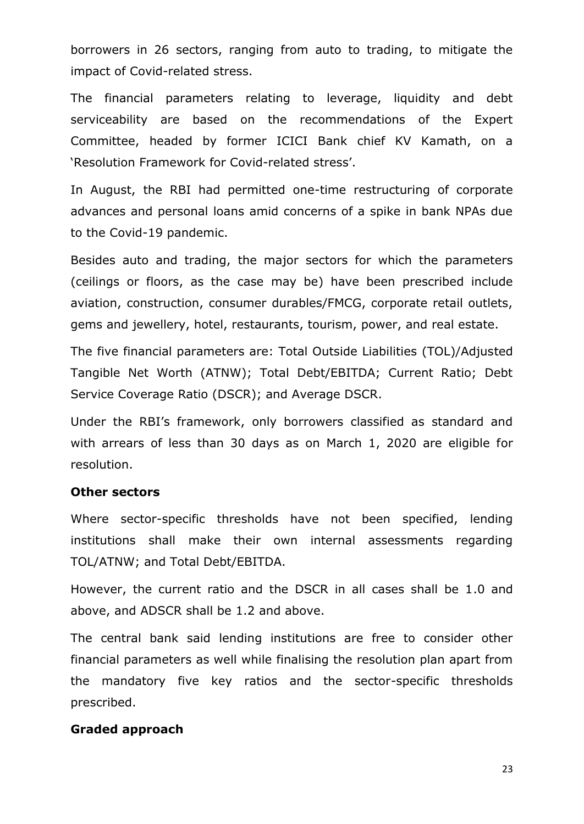borrowers in 26 sectors, ranging from auto to trading, to mitigate the impact of Covid-related stress.

The financial parameters relating to leverage, liquidity and debt serviceability are based on the recommendations of the Expert Committee, headed by former ICICI Bank chief KV Kamath, on a 'Resolution Framework for Covid-related stress'.

In August, the RBI had permitted one-time restructuring of corporate advances and personal loans amid concerns of a spike in bank NPAs due to the Covid-19 pandemic.

Besides auto and trading, the major sectors for which the parameters (ceilings or floors, as the case may be) have been prescribed include aviation, construction, consumer durables/FMCG, corporate retail outlets, gems and jewellery, hotel, restaurants, tourism, power, and real estate.

The five financial parameters are: Total Outside Liabilities (TOL)/Adjusted Tangible Net Worth (ATNW); Total Debt/EBITDA; Current Ratio; Debt Service Coverage Ratio (DSCR); and Average DSCR.

Under the RBI's framework, only borrowers classified as standard and with arrears of less than 30 days as on March 1, 2020 are eligible for resolution.

#### **Other sectors**

Where sector-specific thresholds have not been specified, lending institutions shall make their own internal assessments regarding TOL/ATNW; and Total Debt/EBITDA.

However, the current ratio and the DSCR in all cases shall be 1.0 and above, and ADSCR shall be 1.2 and above.

The central bank said lending institutions are free to consider other financial parameters as well while finalising the resolution plan apart from the mandatory five key ratios and the sector-specific thresholds prescribed.

#### **Graded approach**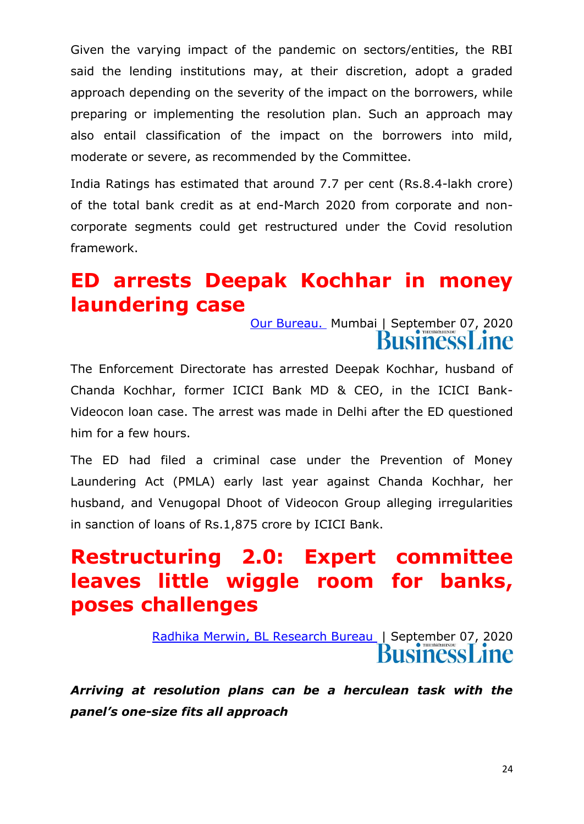Given the varying impact of the pandemic on sectors/entities, the RBI said the lending institutions may, at their discretion, adopt a graded approach depending on the severity of the impact on the borrowers, while preparing or implementing the resolution plan. Such an approach may also entail classification of the impact on the borrowers into mild, moderate or severe, as recommended by the Committee.

India Ratings has estimated that around 7.7 per cent (Rs.8.4-lakh crore) of the total bank credit as at end-March 2020 from corporate and noncorporate segments could get restructured under the Covid resolution framework.

## **ED arrests Deepak Kochhar in money laundering case**

[Our Bureau.](https://www.thehindubusinessline.com/profile/author/Our-Bureau-137009/) Mumbai | September 07, 2020 **Business** ane

The Enforcement Directorate has arrested Deepak Kochhar, husband of Chanda Kochhar, former ICICI Bank MD & CEO, in the ICICI Bank-Videocon loan case. The arrest was made in Delhi after the ED questioned him for a few hours.

The ED had filed a criminal case under the Prevention of Money Laundering Act (PMLA) early last year against Chanda Kochhar, her husband, and Venugopal Dhoot of Videocon Group alleging irregularities in sanction of loans of Rs.1,875 crore by ICICI Bank.

### **Restructuring 2.0: Expert committee leaves little wiggle room for banks, poses challenges**

[Radhika Merwin, BL Research Bureau](https://www.thehindubusinessline.com/profile/author/Radhika-Merwin-BL-Research-Bureau-21759/) | September 07, 2020 **BusinessLine** 

*Arriving at resolution plans can be a herculean task with the panel's one-size fits all approach*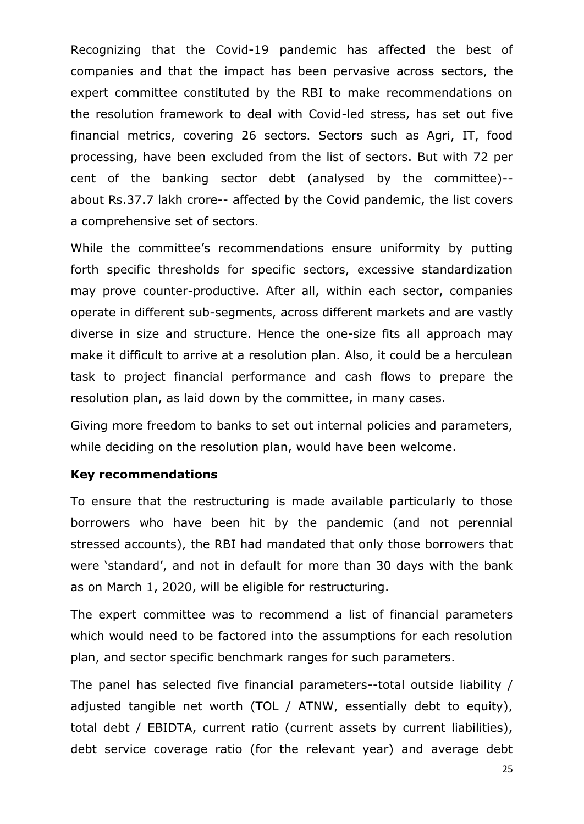Recognizing that the Covid-19 pandemic has affected the best of companies and that the impact has been pervasive across sectors, the expert committee constituted by the RBI to make recommendations on the resolution framework to deal with Covid-led stress, has set out five financial metrics, covering 26 sectors. Sectors such as Agri, IT, food processing, have been excluded from the list of sectors. But with 72 per cent of the banking sector debt (analysed by the committee)- about Rs.37.7 lakh crore-- affected by the Covid pandemic, the list covers a comprehensive set of sectors.

While the committee's recommendations ensure uniformity by putting forth specific thresholds for specific sectors, excessive standardization may prove counter-productive. After all, within each sector, companies operate in different sub-segments, across different markets and are vastly diverse in size and structure. Hence the one-size fits all approach may make it difficult to arrive at a resolution plan. Also, it could be a herculean task to project financial performance and cash flows to prepare the resolution plan, as laid down by the committee, in many cases.

Giving more freedom to banks to set out internal policies and parameters, while deciding on the resolution plan, would have been welcome.

#### **Key recommendations**

To ensure that the restructuring is made available particularly to those borrowers who have been hit by the pandemic (and not perennial stressed accounts), the RBI had mandated that only those borrowers that were 'standard', and not in default for more than 30 days with the bank as on March 1, 2020, will be eligible for restructuring.

The expert committee was to recommend a list of financial parameters which would need to be factored into the assumptions for each resolution plan, and sector specific benchmark ranges for such parameters.

The panel has selected five financial parameters--total outside liability / adjusted tangible net worth (TOL / ATNW, essentially debt to equity), total debt / EBIDTA, current ratio (current assets by current liabilities), debt service coverage ratio (for the relevant year) and average debt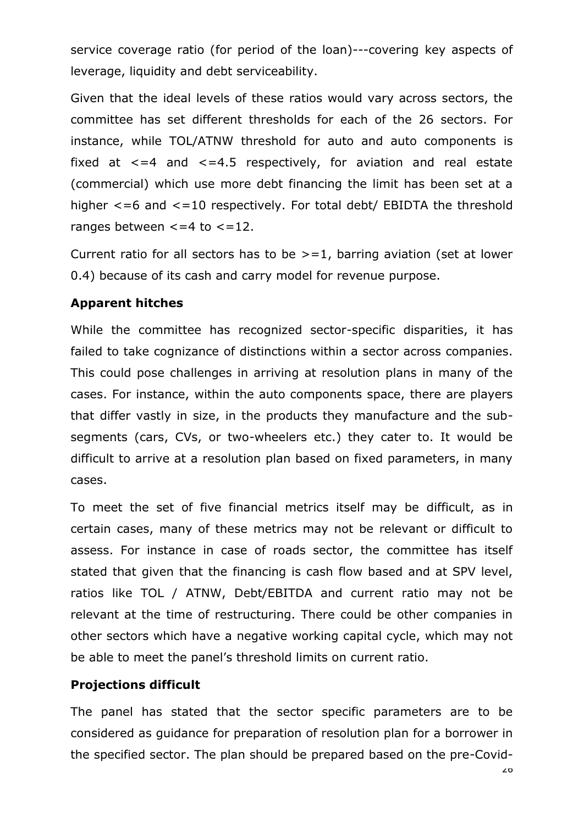service coverage ratio (for period of the loan)---covering key aspects of leverage, liquidity and debt serviceability.

Given that the ideal levels of these ratios would vary across sectors, the committee has set different thresholds for each of the 26 sectors. For instance, while TOL/ATNW threshold for auto and auto components is fixed at  $\leq$ =4 and  $\leq$ =4.5 respectively, for aviation and real estate (commercial) which use more debt financing the limit has been set at a higher  $\leq$ =6 and  $\leq$ =10 respectively. For total debt/ EBIDTA the threshold ranges between  $\lt$  =4 to  $\lt$  =12.

Current ratio for all sectors has to be  $\geq$  = 1, barring aviation (set at lower 0.4) because of its cash and carry model for revenue purpose.

#### **Apparent hitches**

While the committee has recognized sector-specific disparities, it has failed to take cognizance of distinctions within a sector across companies. This could pose challenges in arriving at resolution plans in many of the cases. For instance, within the auto components space, there are players that differ vastly in size, in the products they manufacture and the subsegments (cars, CVs, or two-wheelers etc.) they cater to. It would be difficult to arrive at a resolution plan based on fixed parameters, in many cases.

To meet the set of five financial metrics itself may be difficult, as in certain cases, many of these metrics may not be relevant or difficult to assess. For instance in case of roads sector, the committee has itself stated that given that the financing is cash flow based and at SPV level, ratios like TOL / ATNW, Debt/EBITDA and current ratio may not be relevant at the time of restructuring. There could be other companies in other sectors which have a negative working capital cycle, which may not be able to meet the panel's threshold limits on current ratio.

#### **Projections difficult**

The panel has stated that the sector specific parameters are to be considered as guidance for preparation of resolution plan for a borrower in the specified sector. The plan should be prepared based on the pre-Covid-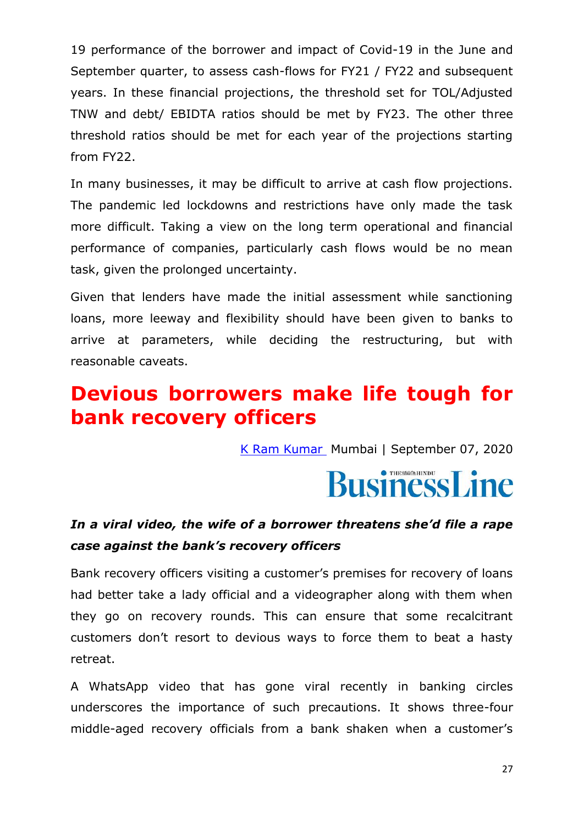19 performance of the borrower and impact of Covid-19 in the June and September quarter, to assess cash-flows for FY21 / FY22 and subsequent years. In these financial projections, the threshold set for TOL/Adjusted TNW and debt/ EBIDTA ratios should be met by FY23. The other three threshold ratios should be met for each year of the projections starting from FY22.

In many businesses, it may be difficult to arrive at cash flow projections. The pandemic led lockdowns and restrictions have only made the task more difficult. Taking a view on the long term operational and financial performance of companies, particularly cash flows would be no mean task, given the prolonged uncertainty.

Given that lenders have made the initial assessment while sanctioning loans, more leeway and flexibility should have been given to banks to arrive at parameters, while deciding the restructuring, but with reasonable caveats.

### **Devious borrowers make life tough for bank recovery officers**

[K Ram Kumar](https://www.thehindubusinessline.com/profile/author/K-Ram-Kumar-16680/) Mumbai | September 07, 2020

# **BusinessLine**

### *In a viral video, the wife of a borrower threatens she'd file a rape case against the bank's recovery officers*

Bank recovery officers visiting a customer's premises for recovery of loans had better take a lady official and a videographer along with them when they go on recovery rounds. This can ensure that some recalcitrant customers don't resort to devious ways to force them to beat a hasty retreat.

A WhatsApp video that has gone viral recently in banking circles underscores the importance of such precautions. It shows three-four middle-aged recovery officials from a bank shaken when a customer's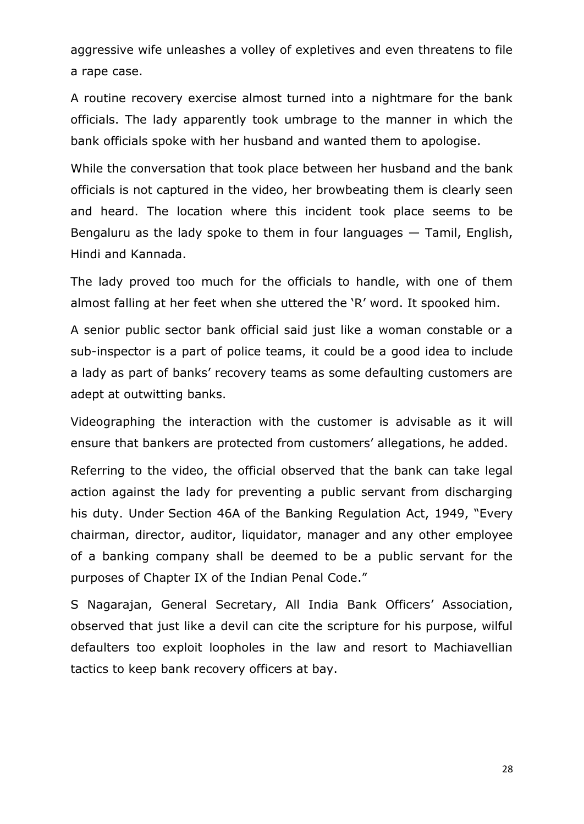aggressive wife unleashes a volley of expletives and even threatens to file a rape case.

A routine recovery exercise almost turned into a nightmare for the bank officials. The lady apparently took umbrage to the manner in which the bank officials spoke with her husband and wanted them to apologise.

While the conversation that took place between her husband and the bank officials is not captured in the video, her browbeating them is clearly seen and heard. The location where this incident took place seems to be Bengaluru as the lady spoke to them in four languages  $-$  Tamil, English, Hindi and Kannada.

The lady proved too much for the officials to handle, with one of them almost falling at her feet when she uttered the 'R' word. It spooked him.

A senior public sector bank official said just like a woman constable or a sub-inspector is a part of police teams, it could be a good idea to include a lady as part of banks' recovery teams as some defaulting customers are adept at outwitting banks.

Videographing the interaction with the customer is advisable as it will ensure that bankers are protected from customers' allegations, he added.

Referring to the video, the official observed that the bank can take legal action against the lady for preventing a public servant from discharging his duty. Under [Section 46A](https://apc01.safelinks.protection.outlook.com/?url=https%3A%2F%2Findiankanoon.org%2Fdoc%2F37263%2F&data=02%7C01%7Cblnews%40kslngio.kslnd6.thehindu.co.in%7Cf72e8eb2a6754571037508d8530a4812%7Cc8f171fb8e124c1286ff9108c97b8963%7C0%7C0%7C637350650929510519&sdata=0KFQ9AJOpMtN%2BCn1EbER2WzUjYeJSXA7j4UPzo6v4TM%3D&reserved=0) of the Banking Regulation Act, 1949, "Every chairman, director, auditor, liquidator, manager and any other employee of a banking company shall be deemed to be a public servant for the purpo[s](https://apc01.safelinks.protection.outlook.com/?url=https%3A%2F%2Findiankanoon.org%2Fdoc%2F1569253%2F&data=02%7C01%7Cblnews%40kslngio.kslnd6.thehindu.co.in%7Cf72e8eb2a6754571037508d8530a4812%7Cc8f171fb8e124c1286ff9108c97b8963%7C0%7C0%7C637350650929510519&sdata=CuMt6KGR00bQJUWd4dwtWsIWFI678AQYS5SylqXm%2FbU%3D&reserved=0)es [of Chapter IX of the Indian Penal Code](https://apc01.safelinks.protection.outlook.com/?url=https%3A%2F%2Findiankanoon.org%2Fdoc%2F1569253%2F&data=02%7C01%7Cblnews%40kslngio.kslnd6.thehindu.co.in%7Cf72e8eb2a6754571037508d8530a4812%7Cc8f171fb8e124c1286ff9108c97b8963%7C0%7C0%7C637350650929510519&sdata=CuMt6KGR00bQJUWd4dwtWsIWFI678AQYS5SylqXm%2FbU%3D&reserved=0)."

S Nagarajan, General Secretary, All India Bank Officers' Association, observed that just like a devil can cite the scripture for his purpose, wilful defaulters too exploit loopholes in the law and resort to Machiavellian tactics to keep bank recovery officers at bay.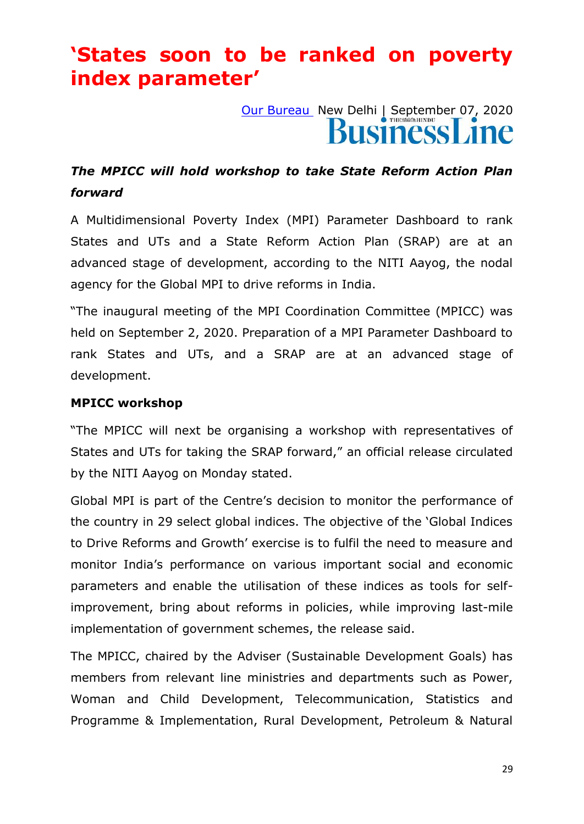## **'States soon to be ranked on poverty index parameter'**

[Our Bureau](https://www.thehindubusinessline.com/profile/author/Our-Bureau-15447/) New Delhi | September 07, 2020

### *The MPICC will hold workshop to take State Reform Action Plan forward*

A Multidimensional Poverty Index (MPI) Parameter Dashboard to rank States and UTs and a State Reform Action Plan (SRAP) are at an advanced stage of development, according to the NITI Aayog, the nodal agency for the Global MPI to drive reforms in India.

"The inaugural meeting of the MPI Coordination Committee (MPICC) was held on September 2, 2020. Preparation of a MPI Parameter Dashboard to rank States and UTs, and a SRAP are at an advanced stage of development.

#### **MPICC workshop**

"The MPICC will next be organising a workshop with representatives of States and UTs for taking the SRAP forward," an official release circulated by the NITI Aayog on Monday stated.

Global MPI is part of the Centre's decision to monitor the performance of the country in 29 select global indices. The objective of the 'Global Indices to Drive Reforms and Growth' exercise is to fulfil the need to measure and monitor India's performance on various important social and economic parameters and enable the utilisation of these indices as tools for selfimprovement, bring about reforms in policies, while improving last-mile implementation of government schemes, the release said.

The MPICC, chaired by the Adviser (Sustainable Development Goals) has members from relevant line ministries and departments such as Power, Woman and Child Development, Telecommunication, Statistics and Programme & Implementation, Rural Development, Petroleum & Natural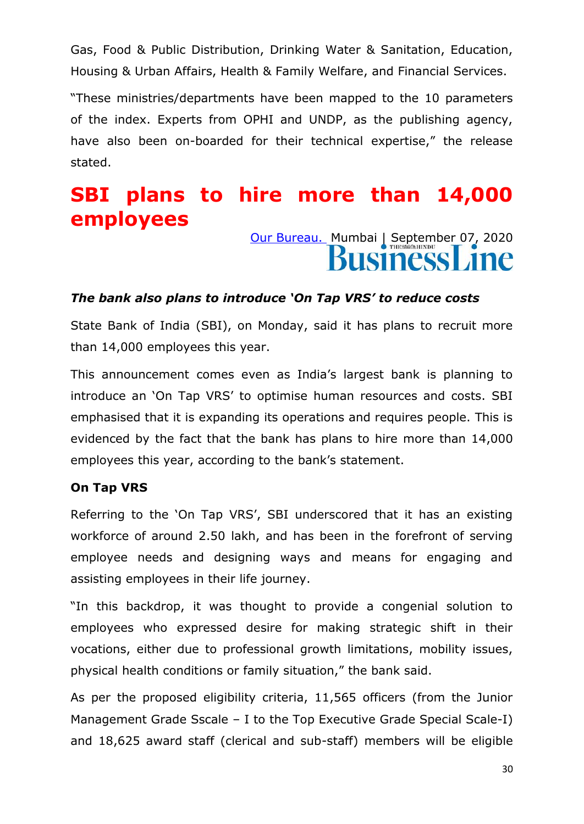Gas, Food & Public Distribution, Drinking Water & Sanitation, Education, Housing & Urban Affairs, Health & Family Welfare, and Financial Services.

―These ministries/departments have been mapped to the 10 parameters of the index. Experts from OPHI and UNDP, as the publishing agency, have also been on-boarded for their technical expertise," the release stated.

## **SBI plans to hire more than 14,000 employees**

# [Our Bureau.](https://www.thehindubusinessline.com/profile/author/Our-Bureau-137009/) Mumbai | September 07, 2020

#### *The bank also plans to introduce 'On Tap VRS' to reduce costs*

State Bank of India (SBI), on Monday, said it has plans to recruit more than 14,000 employees this year.

This announcement comes even as India's largest bank is planning to introduce an 'On Tap VRS' to optimise human resources and costs. SBI emphasised that it is expanding its operations and requires people. This is evidenced by the fact that the bank has plans to hire more than 14,000 employees this year, according to the bank's statement.

#### **On Tap VRS**

Referring to the 'On Tap VRS', SBI underscored that it has an existing workforce of around 2.50 lakh, and has been in the forefront of serving employee needs and designing ways and means for engaging and assisting employees in their life journey.

"In this backdrop, it was thought to provide a congenial solution to employees who expressed desire for making strategic shift in their vocations, either due to professional growth limitations, mobility issues, physical health conditions or family situation," the bank said.

As per the proposed eligibility criteria, 11,565 officers (from the Junior Management Grade Sscale – I to the Top Executive Grade Special Scale-I) and 18,625 award staff (clerical and sub-staff) members will be eligible